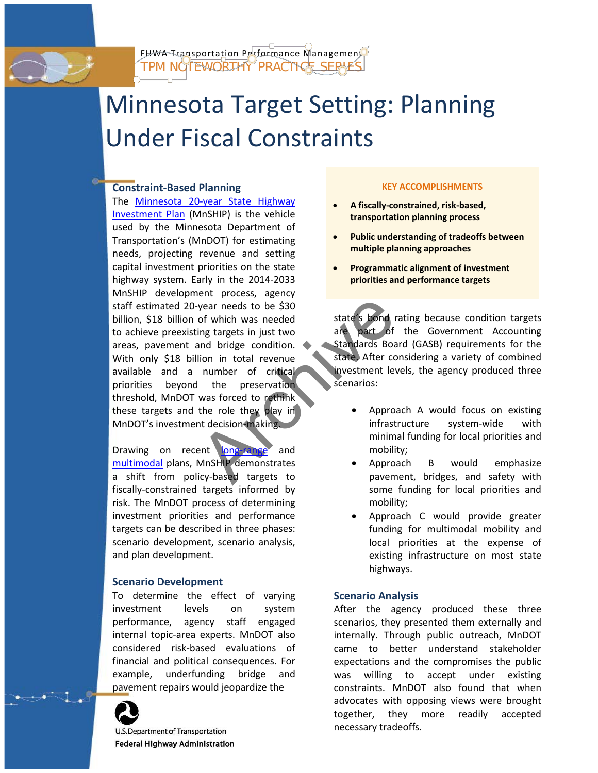

FHWA Transportation Performance Managemen TPM NOTEWORTHY PRACTICE SERIE

# Minnesota Target Setting: Planning Under Fiscal Constraints

# **Constraint-Based Planning**

Example 1991 and<br>
Munching targets in just two are part of the median of which was needed<br>
and bridge condition.<br>
Higher condition in total revenue<br>
the preservation<br>
the role they play in<br>
the role they play in<br>
the role The [Minnesota 20-year State Highway](http://www.dot.state.mn.us/planning/mnship/)  [Investment Plan](http://www.dot.state.mn.us/planning/mnship/) (MnSHIP) is the vehicle used by the Minnesota Department of Transportation's (MnDOT) for estimating needs, projecting revenue and setting capital investment priorities on the state highway system. Early in the 2014-2033 MnSHIP development process, agency staff estimated 20-year needs to be \$30 billion, \$18 billion of which was needed to achieve preexisting targets in just two areas, pavement and bridge condition. With only \$18 billion in total revenue available and a number of critical priorities beyond the preservation threshold, MnDOT was forced to rethink these targets and the role they play in MnDOT's investment decision-making.

Drawing on recent long-range and [multimodal](http://www.dot.state.mn.us/minnesotago/SMTP.html) plans, MnSHIP demonstrates a shift from policy-based targets to fiscally-constrained targets informed by risk. The MnDOT process of determining investment priorities and performance targets can be described in three phases: scenario development, scenario analysis, and plan development.

## **Scenario Development**

To determine the effect of varying investment levels on system performance, agency staff engaged internal topic-area experts. MnDOT also considered risk-based evaluations of financial and political consequences. For example, underfunding bridge and pavement repairs would jeopardize the



U.S. Department of Transportation **Federal Highway Administration** 

#### **KEY ACCOMPLISHMENTS**

- **A fiscally-constrained, risk-based, transportation planning process**
- **Public understanding of tradeoffs between multiple planning approaches**
- **Programmatic alignment of investment priorities and performance targets**

state's bond rating because condition targets are part of the Government Accounting Standards Board (GASB) requirements for the state. After considering a variety of combined investment levels, the agency produced three scenarios:

- Approach A would focus on existing infrastructure system-wide with minimal funding for local priorities and mobility;
- Approach B would emphasize pavement, bridges, and safety with some funding for local priorities and mobility;
- Approach C would provide greater funding for multimodal mobility and local priorities at the expense of existing infrastructure on most state highways.

## **Scenario Analysis**

After the agency produced these three scenarios, they presented them externally and internally. Through public outreach, MnDOT came to better understand stakeholder expectations and the compromises the public was willing to accept under existing constraints. MnDOT also found that when advocates with opposing views were brought together, they more readily accepted necessary tradeoffs.